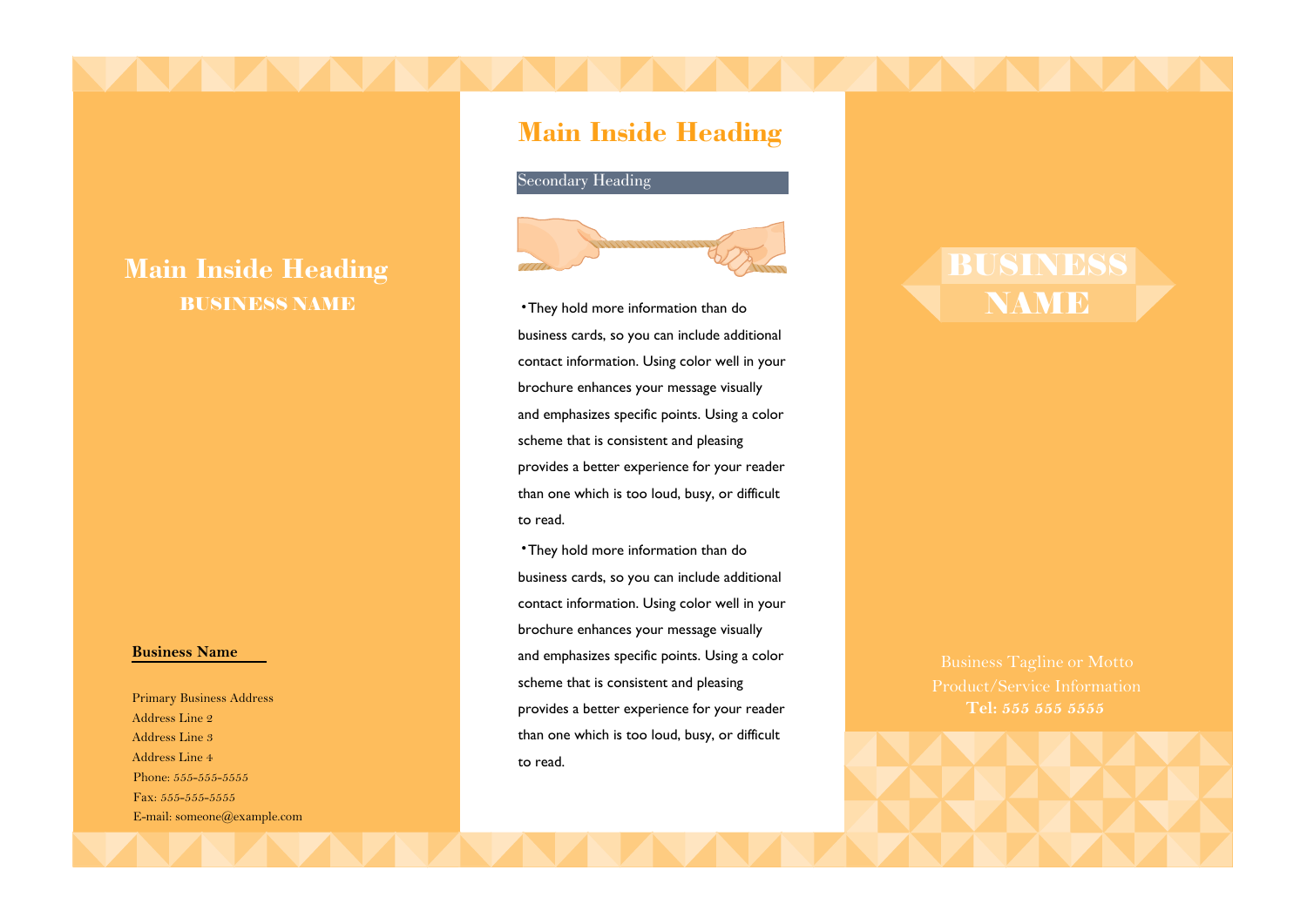# **Main Inside Heading** BUSINESS NAME

### **Business Name**

Primary Business Address Address Line 2 Address Line 3 Address Line 4 Phone: 555-555-5555 Fax: 555-555-5555 E-mail: someone@example.com

# **Main Inside Heading**



•They hold more information than do business cards, so you can include additional contact information. Using color well in your brochure enhances your message visually and emphasizes specific points. Using a color scheme that is consistent and pleasing provides a better experience for your reader than one which is too loud, busy, or difficult to read.

•They hold more information than do business cards, so you can include additional contact information. Using color well in your brochure enhances your message visually and emphasizes specific points. Using a color scheme that is consistent and pleasing provides a better experience for your reader than one which is too loud, busy, or difficult to read.

# **Tel: 555 555 5555**

BUSINESS

NAME